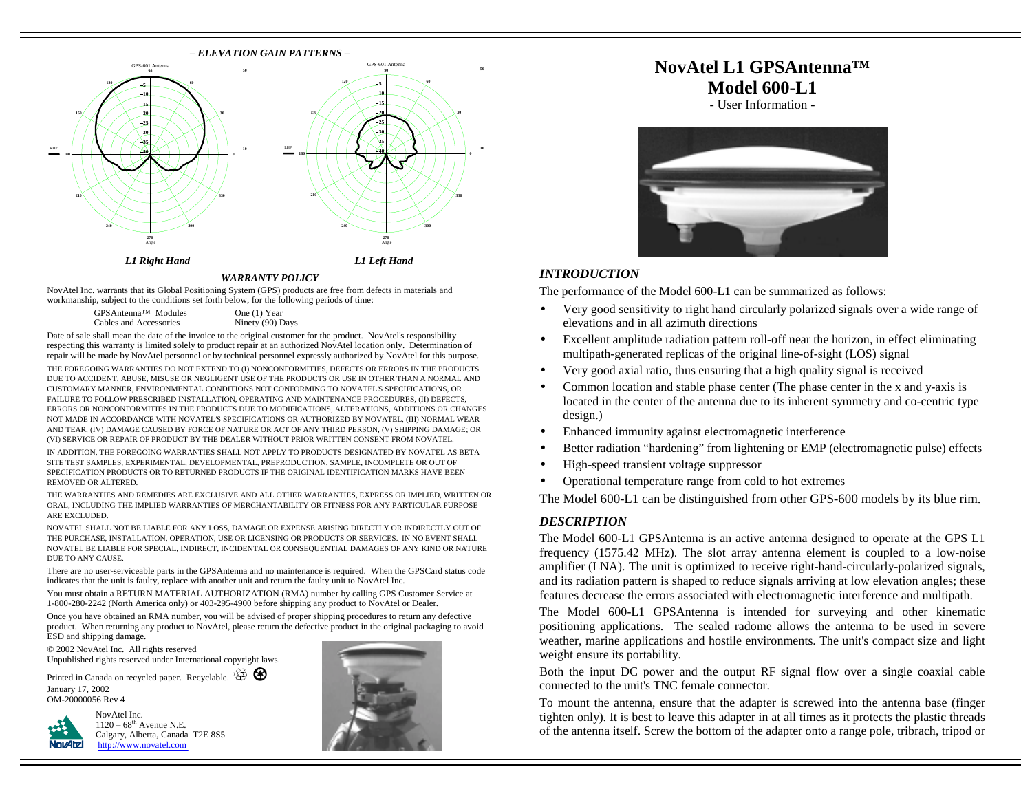

## *WARRANTY POLICY*

NovAtel Inc. warrants that its Global Positioning System (GPS) products are free from defects in materials and workmanship, subject to the conditions set forth below, for the following periods of time:

| GPSAntenna™ Modules    | One (1) Year     |
|------------------------|------------------|
| Cables and Accessories | Ninety (90) Days |

Date of sale shall mean the date of the invoice to the original customer for the product. NovAtel's responsibility respecting this warranty is limited solely to product repair at an authorized NovAtel location only. Determination of repair will be made by NovAtel personnel or by technical personnel expressly authorized by NovAtel for this purpose. THE FOREGOING WARRANTIES DO NOT EXTEND TO (I) NONCONFORMITIES, DEFECTS OR ERRORS IN THE PRODUCTS DUE TO ACCIDENT, ABUSE, MISUSE OR NEGLIGENT USE OF THE PRODUCTS OR USE IN OTHER THAN A NORMAL AND CUSTOMARY MANNER, ENVIRONMENTAL CONDITIONS NOT CONFORMING TO NOVATEL'S SPECIFICATIONS, OR FAILURE TO FOLLOW PRESCRIBED INSTALLATION, OPERATING AND MAINTENANCE PROCEDURES, (II) DEFECTS, ERRORS OR NONCONFORMITIES IN THE PRODUCTS DUE TO MODIFICATIONS, ALTERATIONS, ADDITIONS OR CHANGES NOT MADE IN ACCORDANCE WITH NOVATEL'S SPECIFICATIONS OR AUTHORIZED BY NOVATEL, (III) NORMAL WEAR AND TEAR, (IV) DAMAGE CAUSED BY FORCE OF NATURE OR ACT OF ANY THIRD PERSON, (V) SHIPPING DAMAGE; OR (VI) SERVICE OR REPAIR OF PRODUCT BY THE DEALER WITHOUT PRIOR WRITTEN CONSENT FROM NOVATEL.

IN ADDITION, THE FOREGOING WARRANTIES SHALL NOT APPLY TO PRODUCTS DESIGNATED BY NOVATEL AS BETA SITE TEST SAMPLES, EXPERIMENTAL, DEVELOPMENTAL, PREPRODUCTION, SAMPLE, INCOMPLETE OR OUT OF SPECIFICATION PRODUCTS OR TO RETURNED PRODUCTS IF THE ORIGINAL IDENTIFICATION MARKS HAVE BEEN REMOVED OR ALTERED.

THE WARRANTIES AND REMEDIES ARE EXCLUSIVE AND ALL OTHER WARRANTIES, EXPRESS OR IMPLIED, WRITTEN OR ORAL, INCLUDING THE IMPLIED WARRANTIES OF MERCHANTABILITY OR FITNESS FOR ANY PARTICULAR PURPOSE ARE EXCLUDED.

NOVATEL SHALL NOT BE LIABLE FOR ANY LOSS, DAMAGE OR EXPENSE ARISING DIRECTLY OR INDIRECTLY OUT OF THE PURCHASE, INSTALLATION, OPERATION, USE OR LICENSING OR PRODUCTS OR SERVICES. IN NO EVENT SHALL NOVATEL BE LIABLE FOR SPECIAL, INDIRECT, INCIDENTAL OR CONSEQUENTIAL DAMAGES OF ANY KIND OR NATURE DUE TO ANY CAUSE.

There are no user-serviceable parts in the GPSAntenna and no maintenance is required. When the GPSCard status code indicates that the unit is faulty, replace with another unit and return the faulty unit to NovAtel Inc.

You must obtain a RETURN MATERIAL AUTHORIZATION (RMA) number by calling GPS Customer Service at 1-800-280-2242 (North America only) or 403-295-4900 before shipping any product to NovAtel or Dealer.

Once you have obtained an RMA number, you will be advised of proper shipping procedures to return any defective product. When returning any product to NovAtel, please return the defective product in the original packaging to avoid ESD and shipping damage.

© 2002 NovAtel Inc. All rights reserved Unpublished rights reserved under International copyright laws.

Printed in Canada on recycled paper. Recyclable.  $\overline{\mathbb{G}}$ January 17, 2002 OM-20000056 Rev 4



NovAtel Inc.  $1120 - 68$ <sup>th</sup> Avenue N.E. [Calgary, Alberta, Canada T2E 8S5](http://www.novatel.com)  http://www.novatel.com



# **NovAtel L1 GPSAntenna™ Model 600-L1**

- User Information -



#### *INTRODUCTION*

The performance of the Model 600-L1 can be summarized as follows:

- Very good sensitivity to right hand circularly polarized signals over a wide range of elevations and in all azimuth directions
- Excellent amplitude radiation pattern roll-off near the horizon, in effect eliminating multipath-generated replicas of the original line-of-sight (LOS) signal
- Very good axial ratio, thus ensuring that a high quality signal is received
- Common location and stable phase center (The phase center in the x and y-axis is located in the center of the antenna due to its inherent symmetry and co-centric type design.)
- Enhanced immunity against electromagnetic interference
- Better radiation "hardening" from lightening or EMP (electromagnetic pulse) effects
- High-speed transient voltage suppressor
- Operational temperature range from cold to hot extremes

The Model 600-L1 can be distinguished from other GPS-600 models by its blue rim.

### *DESCRIPTION*

The Model 600-L1 GPSAntenna is an active antenna designed to operate at the GPS L1 frequency (1575.42 MHz). The slot array antenna element is coupled to a low-noise amplifier (LNA). The unit is optimized to receive right-hand-circularly-polarized signals, and its radiation pattern is shaped to reduce signals arriving at low elevation angles; these features decrease the errors associated with electromagnetic interference and multipath.

The Model 600-L1 GPSAntenna is intended for surveying and other kinematic positioning applications. The sealed radome allows the antenna to be used in severe weather, marine applications and hostile environments. The unit's compact size and light weight ensure its portability.

Both the input DC power and the output RF signal flow over a single coaxial cable connected to the unit's TNC female connector.

To mount the antenna, ensure that the adapter is screwed into the antenna base (finger tighten only). It is best to leave this adapter in at all times as it protects the plastic threads of the antenna itself. Screw the bottom of the adapter onto a range pole, tribrach, tripod or